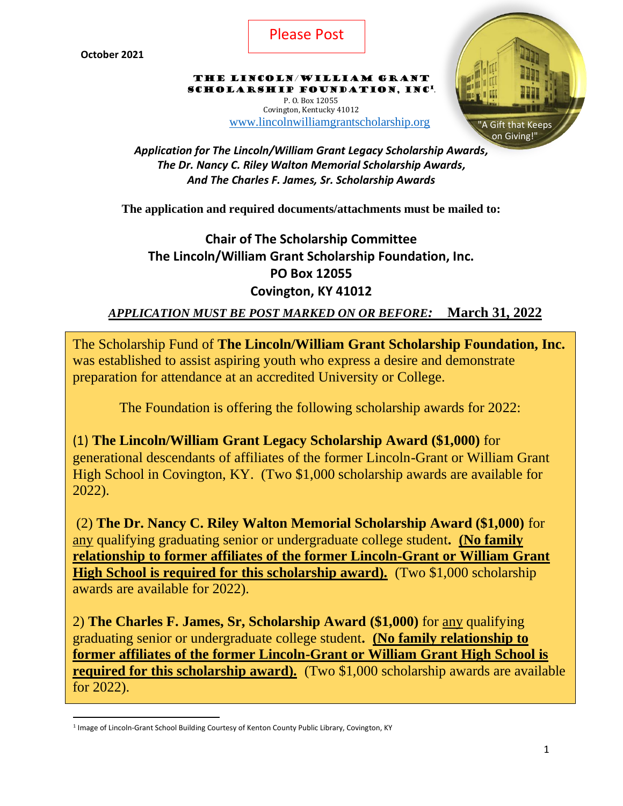

The Lincoln/William Grant SCHOLARSHIP FOUNDATION, INC<sup>1</sup>. P. O. Box 12055

Covington, Kentucky 41012 [www.lincolnwilliamgrantscholarship.org](http://www.lincolnwilliamgrantscholarship.org/)



*Application for The Lincoln/William Grant Legacy Scholarship Awards, The Dr. Nancy C. Riley Walton Memorial Scholarship Awards, And The Charles F. James, Sr. Scholarship Awards*

**The application and required documents/attachments must be mailed to:**

# **Chair of The Scholarship Committee The Lincoln/William Grant Scholarship Foundation, Inc. PO Box 12055 Covington, KY 41012**

*APPLICATION MUST BE POST MARKED ON OR BEFORE:* **March 31, 2022**

The Scholarship Fund of **The Lincoln/William Grant Scholarship Foundation, Inc.** was established to assist aspiring youth who express a desire and demonstrate preparation for attendance at an accredited University or College.

The Foundation is offering the following scholarship awards for 2022:

(1) **The Lincoln/William Grant Legacy Scholarship Award (\$1,000)** for generational descendants of affiliates of the former Lincoln-Grant or William Grant High School in Covington, KY. (Two \$1,000 scholarship awards are available for 2022).

(2) **The Dr. Nancy C. Riley Walton Memorial Scholarship Award (\$1,000)** for any qualifying graduating senior or undergraduate college student**. (No family relationship to former affiliates of the former Lincoln-Grant or William Grant High School is required for this scholarship award).** (Two \$1,000 scholarship awards are available for 2022).

2) **The Charles F. James, Sr, Scholarship Award (\$1,000)** for any qualifying graduating senior or undergraduate college student**. (No family relationship to former affiliates of the former Lincoln-Grant or William Grant High School is required for this scholarship award).** (Two \$1,000 scholarship awards are available for 2022).

<sup>&</sup>lt;sup>1</sup> Image of Lincoln-Grant School Building Courtesy of Kenton County Public Library, Covington, KY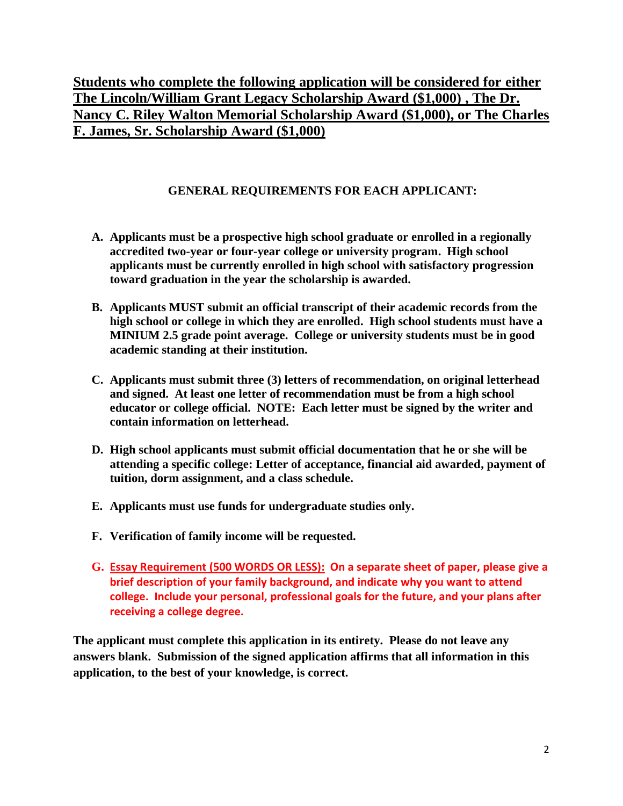**Students who complete the following application will be considered for either The Lincoln/William Grant Legacy Scholarship Award (\$1,000) , The Dr. Nancy C. Riley Walton Memorial Scholarship Award (\$1,000), or The Charles F. James, Sr. Scholarship Award (\$1,000)**

### **GENERAL REQUIREMENTS FOR EACH APPLICANT:**

- **A. Applicants must be a prospective high school graduate or enrolled in a regionally accredited two-year or four-year college or university program. High school applicants must be currently enrolled in high school with satisfactory progression toward graduation in the year the scholarship is awarded.**
- **B. Applicants MUST submit an official transcript of their academic records from the high school or college in which they are enrolled. High school students must have a MINIUM 2.5 grade point average. College or university students must be in good academic standing at their institution.**
- **C. Applicants must submit three (3) letters of recommendation, on original letterhead and signed. At least one letter of recommendation must be from a high school educator or college official. NOTE: Each letter must be signed by the writer and contain information on letterhead.**
- **D. High school applicants must submit official documentation that he or she will be attending a specific college: Letter of acceptance, financial aid awarded, payment of tuition, dorm assignment, and a class schedule.**
- **E. Applicants must use funds for undergraduate studies only.**
- **F. Verification of family income will be requested.**
- **G. Essay Requirement (500 WORDS OR LESS): On a separate sheet of paper, please give a brief description of your family background, and indicate why you want to attend college. Include your personal, professional goals for the future, and your plans after receiving a college degree.**

**The applicant must complete this application in its entirety. Please do not leave any answers blank. Submission of the signed application affirms that all information in this application, to the best of your knowledge, is correct.**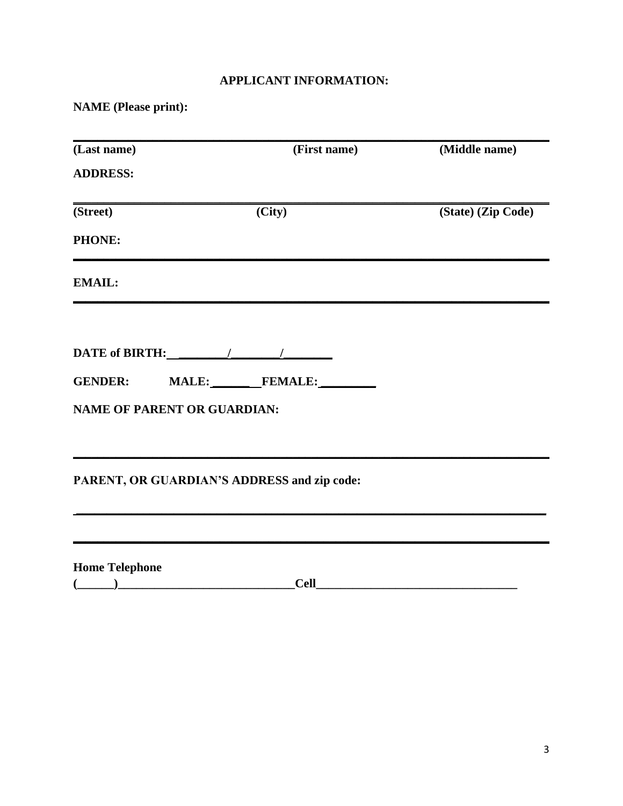# **APPLICANT INFORMATION:**

**NAME** (Please print):

| (Last name)                        | (First name)                                | (Middle name)      |
|------------------------------------|---------------------------------------------|--------------------|
| <b>ADDRESS:</b>                    |                                             |                    |
| (Street)                           | (City)                                      | (State) (Zip Code) |
| <b>PHONE:</b>                      |                                             |                    |
| <b>EMAIL:</b>                      |                                             |                    |
|                                    |                                             |                    |
|                                    | GENDER: MALE: FEMALE:                       |                    |
| <b>NAME OF PARENT OR GUARDIAN:</b> |                                             |                    |
|                                    | PARENT, OR GUARDIAN'S ADDRESS and zip code: |                    |
|                                    |                                             |                    |
| <b>Home Telephone</b>              |                                             |                    |
|                                    | <b>Cell</b>                                 |                    |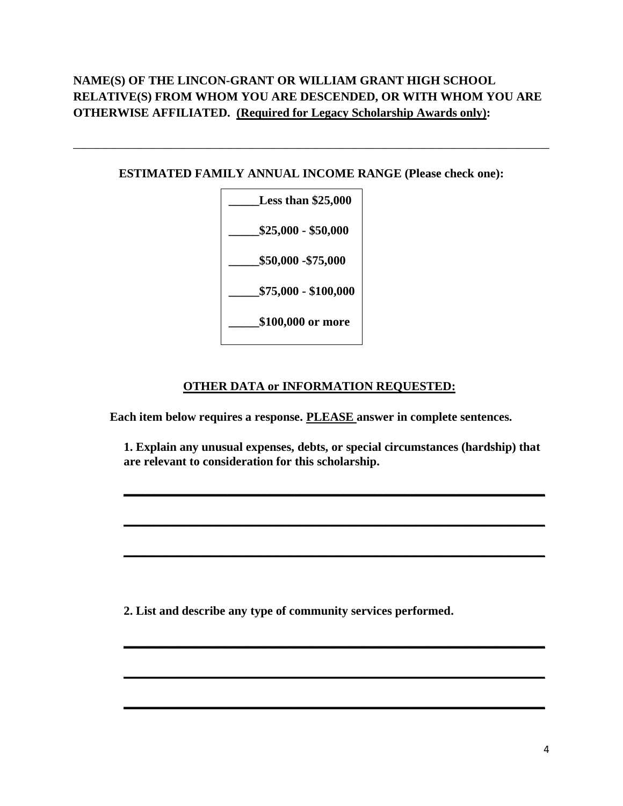# **NAME(S) OF THE LINCON-GRANT OR WILLIAM GRANT HIGH SCHOOL RELATIVE(S) FROM WHOM YOU ARE DESCENDED, OR WITH WHOM YOU ARE OTHERWISE AFFILIATED. (Required for Legacy Scholarship Awards only):**

#### **ESTIMATED FAMILY ANNUAL INCOME RANGE (Please check one):**

\_\_\_\_\_\_\_\_\_\_\_\_\_\_\_\_\_\_\_\_\_\_\_\_\_\_\_\_\_\_\_\_\_\_\_\_\_\_\_\_\_\_\_\_\_\_\_\_\_\_\_\_\_\_\_\_\_\_\_\_\_\_\_\_\_\_\_\_\_\_\_\_\_\_\_\_\_\_



#### **OTHER DATA or INFORMATION REQUESTED:**

**Each item below requires a response. PLEASE answer in complete sentences.**

**1. Explain any unusual expenses, debts, or special circumstances (hardship) that are relevant to consideration for this scholarship.**

**\_\_\_\_\_\_\_\_\_\_\_\_\_\_\_\_\_\_\_\_\_\_\_\_\_\_\_\_\_\_\_\_\_\_\_\_\_\_\_\_\_\_\_\_\_\_\_\_\_\_\_\_\_\_\_\_\_\_\_\_\_\_\_\_\_\_\_\_\_**

**\_\_\_\_\_\_\_\_\_\_\_\_\_\_\_\_\_\_\_\_\_\_\_\_\_\_\_\_\_\_\_\_\_\_\_\_\_\_\_\_\_\_\_\_\_\_\_\_\_\_\_\_\_\_\_\_\_\_\_\_\_\_\_\_\_\_\_\_\_**

**\_\_\_\_\_\_\_\_\_\_\_\_\_\_\_\_\_\_\_\_\_\_\_\_\_\_\_\_\_\_\_\_\_\_\_\_\_\_\_\_\_\_\_\_\_\_\_\_\_\_\_\_\_\_\_\_\_\_\_\_\_\_\_\_\_\_\_\_\_**

**\_\_\_\_\_\_\_\_\_\_\_\_\_\_\_\_\_\_\_\_\_\_\_\_\_\_\_\_\_\_\_\_\_\_\_\_\_\_\_\_\_\_\_\_\_\_\_\_\_\_\_\_\_\_\_\_\_\_\_\_\_\_\_\_\_\_\_\_\_**

**\_\_\_\_\_\_\_\_\_\_\_\_\_\_\_\_\_\_\_\_\_\_\_\_\_\_\_\_\_\_\_\_\_\_\_\_\_\_\_\_\_\_\_\_\_\_\_\_\_\_\_\_\_\_\_\_\_\_\_\_\_\_\_\_\_\_\_\_\_**

**\_\_\_\_\_\_\_\_\_\_\_\_\_\_\_\_\_\_\_\_\_\_\_\_\_\_\_\_\_\_\_\_\_\_\_\_\_\_\_\_\_\_\_\_\_\_\_\_\_\_\_\_\_\_\_\_\_\_\_\_\_\_\_\_\_\_\_\_\_**

**2. List and describe any type of community services performed.**